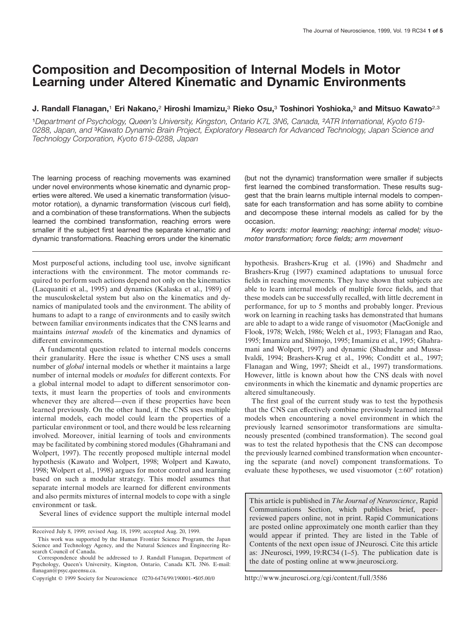# **Composition and Decomposition of Internal Models in Motor Learning under Altered Kinematic and Dynamic Environments**

## **J. Randall Flanagan,**<sup>1</sup> **Eri Nakano,**<sup>2</sup> **Hiroshi Imamizu,**<sup>3</sup> **Rieko Osu,**<sup>3</sup> **Toshinori Yoshioka,**<sup>3</sup> **and Mitsuo Kawato**2,3

<sup>1</sup>*Department of Psychology, Queen's University, Kingston, Ontario K7L 3N6, Canada,* <sup>2</sup>*ATR International, Kyoto 619- 0288, Japan, and* <sup>3</sup>*Kawato Dynamic Brain Project, Exploratory Research for Advanced Technology, Japan Science and Technology Corporation, Kyoto 619-0288, Japan*

The learning process of reaching movements was examined under novel environments whose kinematic and dynamic properties were altered. We used a kinematic transformation (visuomotor rotation), a dynamic transformation (viscous curl field), and a combination of these transformations. When the subjects learned the combined transformation, reaching errors were smaller if the subject first learned the separate kinematic and dynamic transformations. Reaching errors under the kinematic

Most purposeful actions, including tool use, involve significant interactions with the environment. The motor commands required to perform such actions depend not only on the kinematics (Lacquaniti et al., 1995) and dynamics (Kalaska et al., 1989) of the musculoskeletal system but also on the kinematics and dynamics of manipulated tools and the environment. The ability of humans to adapt to a range of environments and to easily switch between familiar environments indicates that the CNS learns and maintains *internal models* of the kinematics and dynamics of different environments.

A fundamental question related to internal models concerns their granularity. Here the issue is whether CNS uses a small number of *global* internal models or whether it maintains a large number of internal models or *modules* for different contexts. For a global internal model to adapt to different sensorimotor contexts, it must learn the properties of tools and environments whenever they are altered—even if these properties have been learned previously. On the other hand, if the CNS uses multiple internal models, each model could learn the properties of a particular environment or tool, and there would be less relearning involved. Moreover, initial learning of tools and environments may be facilitated by combining stored modules (Ghahramani and Wolpert, 1997). The recently proposed multiple internal model hypothesis (Kawato and Wolpert, 1998; Wolpert and Kawato, 1998; Wolpert et al., 1998) argues for motor control and learning based on such a modular strategy. This model assumes that separate internal models are learned for different environments and also permits mixtures of internal models to cope with a single environment or task.

Several lines of evidence support the multiple internal model

(but not the dynamic) transformation were smaller if subjects first learned the combined transformation. These results suggest that the brain learns multiple internal models to compensate for each transformation and has some ability to combine and decompose these internal models as called for by the occasion.

*Key words: motor learning; reaching; internal model; visuomotor transformation; force fields; arm movement*

hypothesis. Brashers-Krug et al. (1996) and Shadmehr and Brashers-Krug (1997) examined adaptations to unusual force fields in reaching movements. They have shown that subjects are able to learn internal models of multiple force fields, and that these models can be successfully recalled, with little decrement in performance, for up to 5 months and probably longer. Previous work on learning in reaching tasks has demonstrated that humans are able to adapt to a wide range of visuomotor (MacGonigle and Flook, 1978; Welch, 1986; Welch et al., 1993; Flanagan and Rao, 1995; Imamizu and Shimojo, 1995; Imamizu et al., 1995; Ghahramani and Wolpert, 1997) and dynamic (Shadmehr and Mussa-Ivaldi, 1994; Brashers-Krug et al., 1996; Conditt et al., 1997; Flanagan and Wing, 1997; Sheidt et al., 1997) transformations. However, little is known about how the CNS deals with novel environments in which the kinematic and dynamic properties are altered simultaneously.

The first goal of the current study was to test the hypothesis that the CNS can effectively combine previously learned internal models when encountering a novel environment in which the previously learned sensorimotor transformations are simultaneously presented (combined transformation). The second goal was to test the related hypothesis that the CNS can decompose the previously learned combined transformation when encountering the separate (and novel) component transformations. To evaluate these hypotheses, we used visuomotor  $(\pm 60^{\circ}$  rotation)

This article is published in *The Journal of Neuroscience*, Rapid Communications Section, which publishes brief, peerreviewed papers online, not in print. Rapid Communications are posted online approximately one month earlier than they would appear if printed. They are listed in the Table of Contents of the next open issue of JNeurosci. Cite this article as: JNeurosci, 1999, 19:RC34 (1–5). The publication date is the date of posting online at www.jneurosci.org.

http://www.jneurosci.org/cgi/content/full/3586

Received July 8, 1999; revised Aug. 18, 1999; accepted Aug. 20, 1999.

This work was supported by the Human Frontier Science Program, the Japan Science and Technology Agency, and the Natural Sciences and Engineering Research Council of Canada.

Correspondence should be addressed to J. Randall Flanagan, Department of Psychology, Queen's University, Kingston, Ontario, Canada K7L 3N6. E-mail: flanagan@psyc.queensu.ca.

Copyright © 1999 Society for Neuroscience 0270-6474/99/190001-•\$05.00/0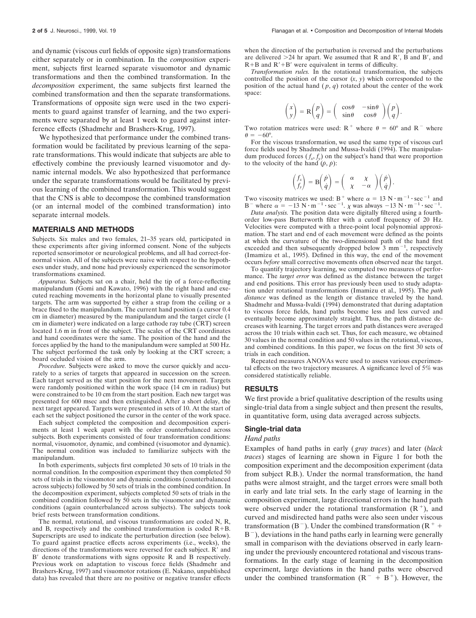and dynamic (viscous curl fields of opposite sign) transformations either separately or in combination. In the *composition* experiment, subjects first learned separate visuomotor and dynamic transformations and then the combined transformation. In the *decomposition* experiment, the same subjects first learned the combined transformation and then the separate transformations. Transformations of opposite sign were used in the two experiments to guard against transfer of learning, and the two experiments were separated by at least 1 week to guard against interference effects (Shadmehr and Brashers-Krug, 1997).

We hypothesized that performance under the combined transformation would be facilitated by previous learning of the separate transformations. This would indicate that subjects are able to effectively combine the previously learned visuomotor and dynamic internal models. We also hypothesized that performance under the separate transformations would be facilitated by previous learning of the combined transformation. This would suggest that the CNS is able to decompose the combined transformation (or an internal model of the combined transformation) into separate internal models.

#### **MATERIALS AND METHODS**

Subjects. Six males and two females, 21–35 years old, participated in these experiments after giving informed consent. None of the subjects reported sensorimotor or neurological problems, and all had correct-fornormal vision. All of the subjects were naive with respect to the hypotheses under study, and none had previously experienced the sensorimotor transformations examined.

*Apparatus.* Subjects sat on a chair, held the tip of a force-reflecting manipulandum (Gomi and Kawato, 1996) with the right hand and executed reaching movements in the horizontal plane to visually presented targets. The arm was supported by either a strap from the ceiling or a brace fixed to the manipulandum. The current hand position (a cursor 0.4 cm in diameter) measured by the manipulandum and the target circle (1 cm in diameter) were indicated on a large cathode ray tube (CRT) screen located 1.6 m in front of the subject. The scales of the CRT coordinates and hand coordinates were the same. The position of the hand and the forces applied by the hand to the manipulandum were sampled at 500 Hz. The subject performed the task only by looking at the CRT screen; a board occluded vision of the arm.

*Procedure.* Subjects were asked to move the cursor quickly and accurately to a series of targets that appeared in succession on the screen. Each target served as the start position for the next movement. Targets were randomly positioned within the work space (14 cm in radius) but were constrained to be 10 cm from the start position. Each new target was presented for 600 msec and then extinguished. After a short delay, the next target appeared. Targets were presented in sets of 10. At the start of each set the subject positioned the cursor in the center of the work space.

Each subject completed the composition and decomposition experiments at least 1 week apart with the order counterbalanced across subjects. Both experiments consisted of four transformation conditions: normal, visuomotor, dynamic, and combined (visuomotor and dynamic). The normal condition was included to familiarize subjects with the manipulandum.

In both experiments, subjects first completed 30 sets of 10 trials in the normal condition. In the composition experiment they then completed 50 sets of trials in the visuomotor and dynamic conditions (counterbalanced across subjects) followed by 50 sets of trials in the combined condition. In the decomposition experiment, subjects completed 50 sets of trials in the combined condition followed by 50 sets in the visuomotor and dynamic conditions (again counterbalanced across subjects). The subjects took brief rests between transformation conditions.

The normal, rotational, and viscous transformations are coded N, R, and B, respectively and the combined transformation is coded  $R+B$ . Superscripts are used to indicate the perturbation direction (see below). To guard against practice effects across experiments (i.e., weeks), the directions of the transformations were reversed for each subject.  $R'$  and B' denote transformations with signs opposite R and B respectively. Previous work on adaptation to viscous force fields (Shadmehr and Brashers-Krug, 1997) and visuomotor rotations (E. Nakano, unpublished data) has revealed that there are no positive or negative transfer effects when the direction of the perturbation is reversed and the perturbations are delivered  $>24$  hr apart. We assumed that R and R', B and B', and  $R+B$  and  $R'+B'$  were equivalent in terms of difficulty.

*Transformation rules.* In the rotational transformation, the subjects controlled the position of the cursor  $(x, y)$  which corresponded to the position of the actual hand  $(p, q)$  rotated about the center of the work space:

$$
\begin{pmatrix} x \\ y \end{pmatrix} = \mathbf{R} \begin{pmatrix} p \\ q \end{pmatrix} = \begin{pmatrix} \cos \theta & -\sin \theta \\ \sin \theta & \cos \theta \end{pmatrix} \begin{pmatrix} p \\ q \end{pmatrix}.
$$

Two rotation matrices were used:  $R^+$  where  $\theta = 60^\circ$  and  $R^-$  where  $\theta = -60^\circ$ .

For the viscous transformation, we used the same type of viscous curl force fields used by Shadmehr and Mussa-Ivaldi (1994). The manipulandum produced forces  $(f_x, f_y)$  on the subject's hand that were proportion to the velocity of the hand  $(\dot{p}, \dot{p})$ :

$$
\begin{pmatrix} f_x \\ f_y \end{pmatrix} = \mathbf{B} \begin{pmatrix} \dot{p} \\ \dot{q} \end{pmatrix} = \begin{pmatrix} \alpha & \chi \\ \chi & -\alpha \end{pmatrix} \begin{pmatrix} \dot{p} \\ \dot{q} \end{pmatrix}.
$$

Two viscosity matrices we used: B<sup>+</sup> where  $\alpha = 13 \text{ N} \cdot \text{m}^{-1} \cdot \text{sec}^{-1}$  and B<sup>-</sup> where  $\alpha = -13$  N · m<sup>-1</sup> · sec<sup>-1</sup>.  $\chi$  was always -13 N · m<sup>-1</sup> · sec<sup>-1</sup>.

*Data analysis.* The position data were digitally filtered using a fourthorder low-pass Butterworth filter with a cutoff frequency of 20 Hz. Velocities were computed with a three-point local polynomial approximation. The start and end of each movement were defined as the points at which the curvature of the two-dimensional path of the hand first exceeded and then subsequently dropped below  $3 \text{ mm}^{-1}$ , respectively (Imamizu et al., 1995). Defined in this way, the end of the movement occurs *before* small corrective movements often observed near the target.

To quantify trajectory learning, we computed two measures of performance. The *target error* was defined as the distance between the target and end positions. This error has previously been used to study adaptation under rotational transformations (Imamizu et al., 1995). The *path distance* was defined as the length or distance traveled by the hand. Shadmehr and Mussa-Ivaldi (1994) demonstrated that during adaptation to viscous force fields, hand paths become less and less curved and eventually become approximately straight. Thus, the path distance decreases with learning. The target errors and path distances were averaged across the 10 trials within each set. Thus, for each measure, we obtained 30 values in the normal condition and 50 values in the rotational, viscous, and combined conditions. In this paper, we focus on the first 30 sets of trials in each condition.

Repeated measures ANOVAs were used to assess various experimental effects on the two trajectory measures. A significance level of 5% was considered statistically reliable.

## **RESULTS**

We first provide a brief qualitative description of the results using single-trial data from a single subject and then present the results, in quantitative form, using data averaged across subjects.

## **Single-trial data**

#### *Hand paths*

Examples of hand paths in early ( *gray traces*) and later (*black traces*) stages of learning are shown in Figure 1 for both the composition experiment and the decomposition experiment (data from subject R.B.). Under the normal transformation, the hand paths were almost straight, and the target errors were small both in early and late trial sets. In the early stage of learning in the composition experiment, large directional errors in the hand path were observed under the rotational transformation  $(R^+)$ , and curved and misdirected hand paths were also seen under viscous transformation ( $B^-$ ). Under the combined transformation ( $R^+$  +  $B^-$ ), deviations in the hand paths early in learning were generally small in comparison with the deviations observed in early learning under the previously encountered rotational and viscous transformations. In the early stage of learning in the decomposition experiment, large deviations in the hand paths were observed under the combined transformation  $(R^- + B^+)$ . However, the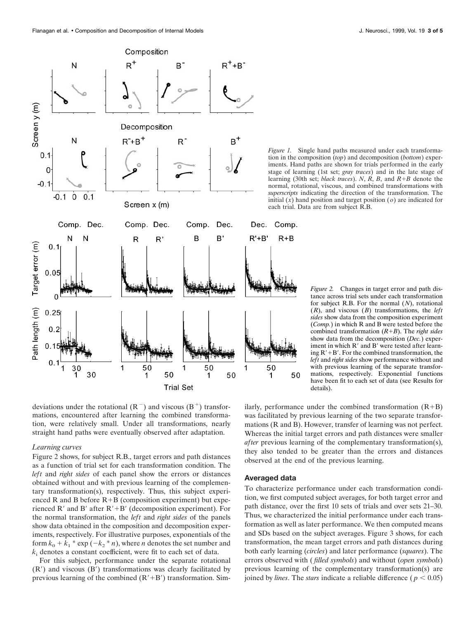

*Figure 1.* Single hand paths measured under each transformation in the composition (*top*) and decomposition (*bottom*) experiments. Hand paths are shown for trials performed in the early stage of learning (1st set; *gray traces*) and in the late stage of learning (30th set; *black traces*). *N*, *R*, *B*, and *R*1*B* denote the normal, rotational, viscous, and combined transformations with *superscripts* indicating the direction of the transformation. The initial  $(x)$  hand position and target position  $(o)$  are indicated for each trial. Data are from subject R.B.

*Figure 2.* Changes in target error and path distance across trial sets under each transformation for subject R.B. For the normal (*N*), rotational (*R*), and viscous (*B*) transformations, the *left sides* show data from the composition experiment (*Comp.*) in which R and B were tested before the combined transformation  $(R+B)$ . The *right sides* show data from the decomposition (*Dec.*) experiment in which R' and B' were tested after learning  $R'+B'$ . For the combined transformation, the *left* and *right sides* show performance without and with previous learning of the separate transformations, respectively. Exponential functions have been fit to each set of data (see Results for details).

deviations under the rotational  $(R^-)$  and viscous  $(B^+)$  transformations, encountered after learning the combined transformation, were relatively small. Under all transformations, nearly straight hand paths were eventually observed after adaptation.

### *Learning curves*

Figure 2 shows, for subject R.B., target errors and path distances as a function of trial set for each transformation condition. The *left* and *right sides* of each panel show the errors or distances obtained without and with previous learning of the complementary transformation(s), respectively. Thus, this subject experienced R and B before  $R+B$  (composition experiment) but experienced R' and B' after  $R'+B'$  (decomposition experiment). For the normal transformation, the *left* and *right sides* of the panels show data obtained in the composition and decomposition experiments, respectively. For illustrative purposes, exponentials of the form  $k_0 + k_1 * \exp(-k_2 * n)$ , where *n* denotes the set number and  $k_i$  denotes a constant coefficient, were fit to each set of data.

For this subject, performance under the separate rotational  $(R')$  and viscous  $(B')$  transformations was clearly facilitated by previous learning of the combined  $(R'+B')$  transformation. Sim-

ilarly, performance under the combined transformation  $(R+B)$ was facilitated by previous learning of the two separate transformations (R and B). However, transfer of learning was not perfect. Whereas the initial target errors and path distances were smaller *after* previous learning of the complementary transformation(s), they also tended to be greater than the errors and distances observed at the end of the previous learning.

#### **Averaged data**

50

To characterize performance under each transformation condition, we first computed subject averages, for both target error and path distance, over the first 10 sets of trials and over sets 21–30. Thus, we characterized the initial performance under each transformation as well as later performance. We then computed means and SDs based on the subject averages. Figure 3 shows, for each transformation, the mean target errors and path distances during both early learning (*circles*) and later performance (*squares*). The errors observed with ( *filled symbols*) and without (*open symbols*) previous learning of the complementary transformation(s) are joined by *lines*. The *stars* indicate a reliable difference ( $p < 0.05$ )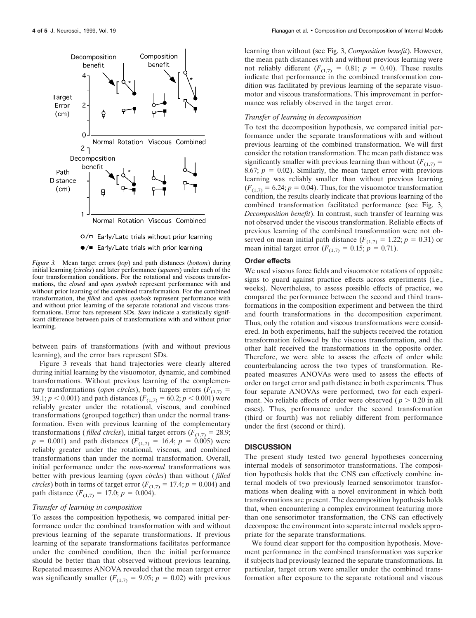

*Figure 3.* Mean target errors (*top*) and path distances (*bottom*) during initial learning (*circles*) and later performance (*squares*) under each of the four transformation conditions. For the rotational and viscous transformations, the *closed* and *open symbols* represent performance with and without prior learning of the combined transformation. For the combined transformation, the *filled* and *open symbols* represent performance with and without prior learning of the separate rotational and viscous transformations. Error bars represent SDs. *Stars* indicate a statistically significant difference between pairs of transformations with and without prior learning.

between pairs of transformations (with and without previous learning), and the error bars represent SDs.

Figure 3 reveals that hand trajectories were clearly altered during initial learning by the visuomotor, dynamic, and combined transformations. Without previous learning of the complementary transformations (*open circles*), both targets errors ( $F_{(1,7)}$  = 39.1;  $p < 0.001$ ) and path distances ( $F_{(1,7)} = 60.2$ ;  $p < 0.001$ ) were reliably greater under the rotational, viscous, and combined transformations (grouped together) than under the normal transformation. Even with previous learning of the complementary transformations (*filled circles*), initial target errors ( $F_{(1,7)} = 28.9$ ;  $p = 0.001$ ) and path distances ( $F_{(1,7)} = 16.4$ ;  $p = 0.005$ ) were reliably greater under the rotational, viscous, and combined transformations than under the normal transformation. Overall, initial performance under the *non-normal* transformations was better with previous learning (*open circles*) than without ( *filled circles*) both in terms of target error  $(F_{(1,7)} = 17.4; p = 0.004)$  and path distance  $(F_{(1,7)} = 17.0; p = 0.004)$ .

## *Transfer of learning in composition*

To assess the composition hypothesis, we compared initial performance under the combined transformation with and without previous learning of the separate transformations. If previous learning of the separate transformations facilitates performance under the combined condition, then the initial performance should be better than that observed without previous learning. Repeated measures ANOVA revealed that the mean target error was significantly smaller  $(F_{(1,7)} = 9.05; p = 0.02)$  with previous

learning than without (see Fig. 3, *Composition benefit*). However, the mean path distances with and without previous learning were not reliably different  $(F_{(1,7)} = 0.81; p = 0.40)$ . These results indicate that performance in the combined transformation condition was facilitated by previous learning of the separate visuomotor and viscous transformations. This improvement in performance was reliably observed in the target error.

#### *Transfer of learning in decomposition*

To test the decomposition hypothesis, we compared initial performance under the separate transformations with and without previous learning of the combined transformation. We will first consider the rotation transformation. The mean path distance was significantly smaller with previous learning than without  $(F_{(1,7)} =$ 8.67;  $p = 0.02$ ). Similarly, the mean target error with previous learning was reliably smaller than without previous learning  $(F_{(1,7)} = 6.24; p = 0.04)$ . Thus, for the visuomotor transformation condition, the results clearly indicate that previous learning of the combined transformation facilitated performance (see Fig. 3, *Decomposition benefit*). In contrast, such transfer of learning was not observed under the viscous transformation. Reliable effects of previous learning of the combined transformation were not observed on mean initial path distance  $(F_{(1,7)} = 1.22; p = 0.31)$  or mean initial target error  $(F_{(1,7)} = 0.15; p = 0.71)$ .

#### **Order effects**

We used viscous force fields and visuomotor rotations of opposite signs to guard against practice effects across experiments (i.e., weeks). Nevertheless, to assess possible effects of practice, we compared the performance between the second and third transformations in the composition experiment and between the third and fourth transformations in the decomposition experiment. Thus, only the rotation and viscous transformations were considered. In both experiments, half the subjects received the rotation transformation followed by the viscous transformation, and the other half received the transformations in the opposite order. Therefore, we were able to assess the effects of order while counterbalancing across the two types of transformation. Repeated measures ANOVAs were used to assess the effects of order on target error and path distance in both experiments. Thus four separate ANOVAs were performed, two for each experiment. No reliable effects of order were observed ( $p > 0.20$  in all cases). Thus, performance under the second transformation (third or fourth) was not reliably different from performance under the first (second or third).

#### **DISCUSSION**

The present study tested two general hypotheses concerning internal models of sensorimotor transformations. The composition hypothesis holds that the CNS can effectively combine internal models of two previously learned sensorimotor transformations when dealing with a novel environment in which both transformations are present. The decomposition hypothesis holds that, when encountering a complex environment featuring more than one sensorimotor transformation, the CNS can effectively decompose the environment into separate internal models appropriate for the separate transformations.

We found clear support for the composition hypothesis. Movement performance in the combined transformation was superior if subjects had previously learned the separate transformations. In particular, target errors were smaller under the combined transformation after exposure to the separate rotational and viscous